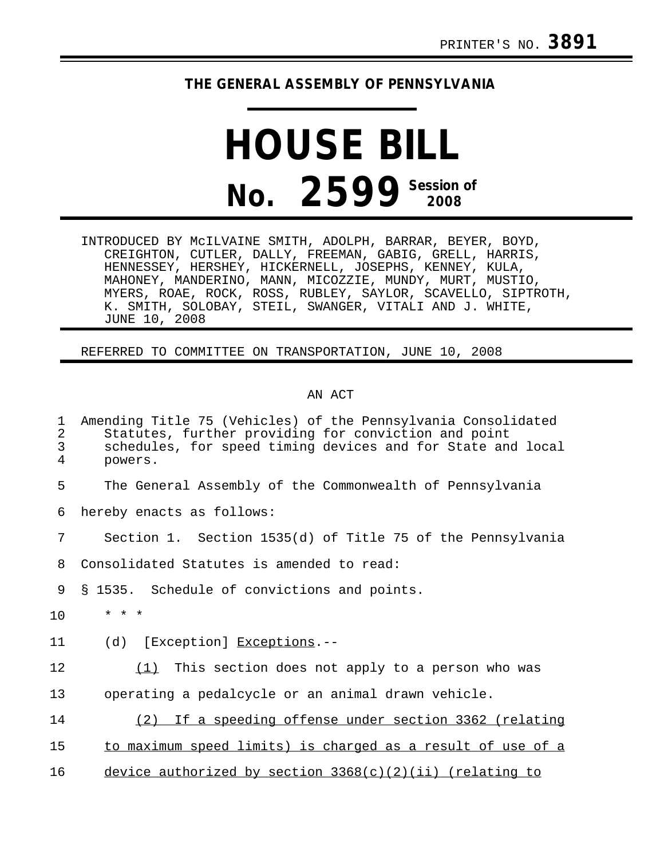## **THE GENERAL ASSEMBLY OF PENNSYLVANIA**

## **HOUSE BILL No.** 2599<sup> Session of</sup>

INTRODUCED BY McILVAINE SMITH, ADOLPH, BARRAR, BEYER, BOYD, CREIGHTON, CUTLER, DALLY, FREEMAN, GABIG, GRELL, HARRIS, HENNESSEY, HERSHEY, HICKERNELL, JOSEPHS, KENNEY, KULA, MAHONEY, MANDERINO, MANN, MICOZZIE, MUNDY, MURT, MUSTIO, MYERS, ROAE, ROCK, ROSS, RUBLEY, SAYLOR, SCAVELLO, SIPTROTH, K. SMITH, SOLOBAY, STEIL, SWANGER, VITALI AND J. WHITE, JUNE 10, 2008

REFERRED TO COMMITTEE ON TRANSPORTATION, JUNE 10, 2008

## AN ACT

| 1<br>$\overline{2}$<br>3<br>$\overline{4}$ | Amending Title 75 (Vehicles) of the Pennsylvania Consolidated<br>Statutes, further providing for conviction and point<br>schedules, for speed timing devices and for State and local<br>powers. |
|--------------------------------------------|-------------------------------------------------------------------------------------------------------------------------------------------------------------------------------------------------|
| 5                                          | The General Assembly of the Commonwealth of Pennsylvania                                                                                                                                        |
| 6                                          | hereby enacts as follows:                                                                                                                                                                       |
| 7                                          | Section 1. Section 1535(d) of Title 75 of the Pennsylvania                                                                                                                                      |
| 8                                          | Consolidated Statutes is amended to read:                                                                                                                                                       |
| 9                                          | § 1535. Schedule of convictions and points.                                                                                                                                                     |
| 10                                         | $* * *$                                                                                                                                                                                         |
| 11                                         | [Exception] Exceptions.--<br>(d)                                                                                                                                                                |
| 12                                         | $(1)$ This section does not apply to a person who was                                                                                                                                           |
| 13                                         | operating a pedalcycle or an animal drawn vehicle.                                                                                                                                              |
| 14                                         | If a speeding offense under section 3362 (relating<br>(2)                                                                                                                                       |
| 15                                         | to maximum speed limits) is charged as a result of use of a                                                                                                                                     |
| 16                                         | device authorized by section $3368(c)(2)(ii)$ (relating to                                                                                                                                      |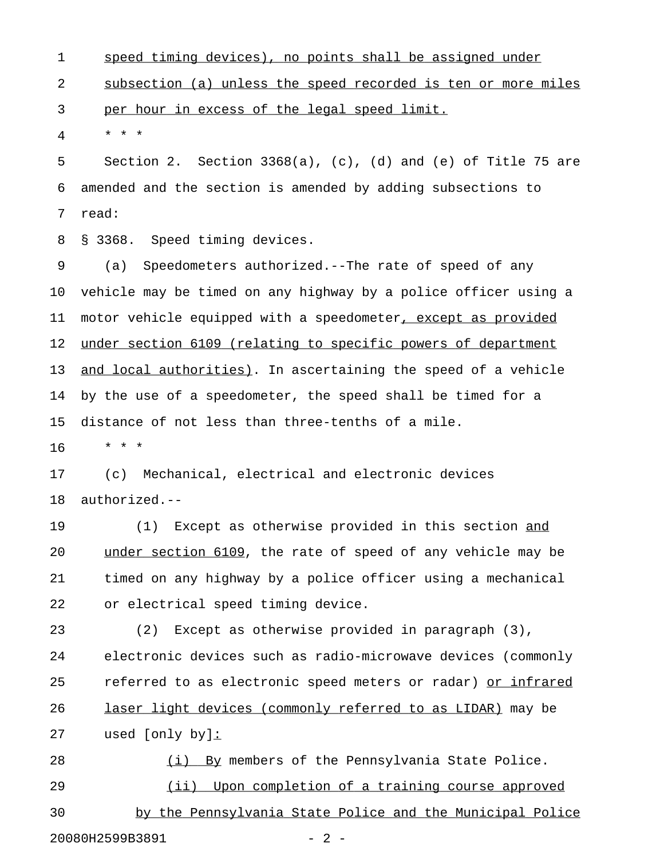1 speed timing devices), no points shall be assigned under 2 subsection (a) unless the speed recorded is ten or more miles 3 per hour in excess of the legal speed limit.

4 \* \* \*

5 Section 2. Section 3368(a), (c), (d) and (e) of Title 75 are 6 amended and the section is amended by adding subsections to 7 read:

8 § 3368. Speed timing devices.

9 (a) Speedometers authorized.--The rate of speed of any 10 vehicle may be timed on any highway by a police officer using a 11 motor vehicle equipped with a speedometer, except as provided 12 under section 6109 (relating to specific powers of department 13 and local authorities). In ascertaining the speed of a vehicle 14 by the use of a speedometer, the speed shall be timed for a 15 distance of not less than three-tenths of a mile.

16 \* \* \*

17 (c) Mechanical, electrical and electronic devices 18 authorized.--

19 (1) Except as otherwise provided in this section and \_\_\_ 20 under section 6109, the rate of speed of any vehicle may be 21 timed on any highway by a police officer using a mechanical 22 or electrical speed timing device.

23 (2) Except as otherwise provided in paragraph (3), 24 electronic devices such as radio-microwave devices (commonly 25 referred to as electronic speed meters or radar) or infrared 26 laser light devices (commonly referred to as LIDAR) may be 27 used [only by]:\_

28 (i) By members of the Pennsylvania State Police. 29 (ii) Upon completion of a training course approved 30 by the Pennsylvania State Police and the Municipal Police 20080H2599B3891 - 2 -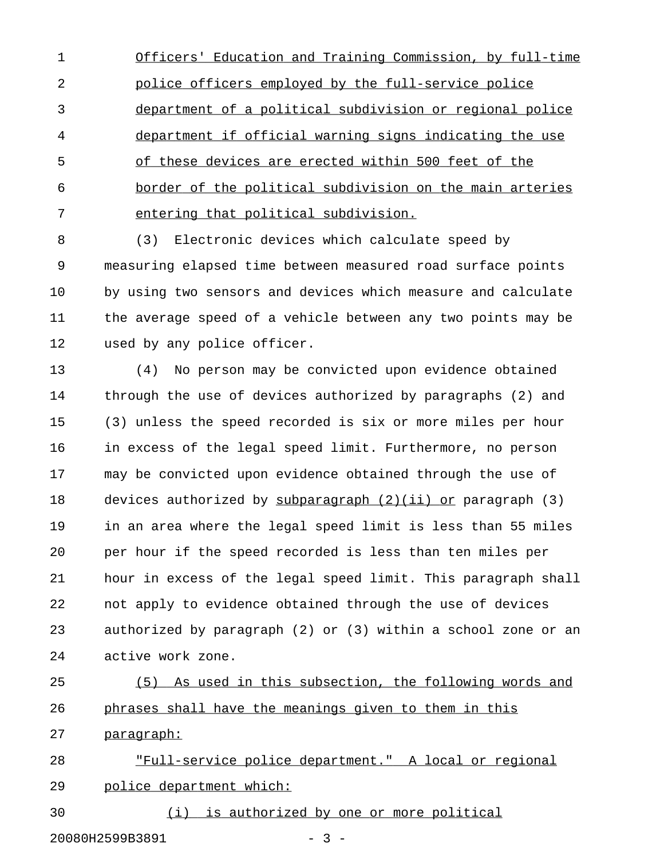1 Officers' Education and Training Commission, by full-time 2 police officers employed by the full-service police 3 department of a political subdivision or regional police 4 department if official warning signs indicating the use 5 of these devices are erected within 500 feet of the 6 border of the political subdivision on the main arteries 7 entering that political subdivision.

8 (3) Electronic devices which calculate speed by 9 measuring elapsed time between measured road surface points 10 by using two sensors and devices which measure and calculate 11 the average speed of a vehicle between any two points may be 12 used by any police officer.

13 (4) No person may be convicted upon evidence obtained 14 through the use of devices authorized by paragraphs (2) and 15 (3) unless the speed recorded is six or more miles per hour 16 in excess of the legal speed limit. Furthermore, no person 17 may be convicted upon evidence obtained through the use of 18 devices authorized by subparagraph (2)(ii) or paragraph (3) 19 in an area where the legal speed limit is less than 55 miles 20 per hour if the speed recorded is less than ten miles per 21 hour in excess of the legal speed limit. This paragraph shall 22 not apply to evidence obtained through the use of devices 23 authorized by paragraph (2) or (3) within a school zone or an 24 active work zone.

25 (5) As used in this subsection, the following words and 26 phrases shall have the meanings given to them in this

27 paragraph:

28 "Full-service police department." A local or regional 29 police department which:

30 (i) is authorized by one or more political

20080H2599B3891 - 3 -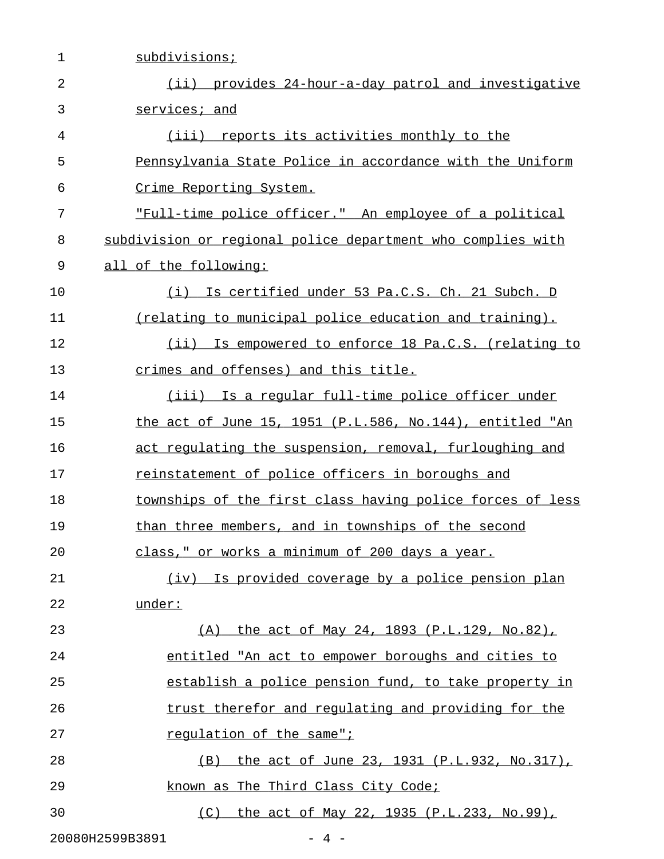| 1  | subdivisions;                                               |
|----|-------------------------------------------------------------|
| 2  | (ii) provides 24-hour-a-day patrol and investigative        |
| 3  | services; and                                               |
| 4  | (iii)<br>reports its activities monthly to the              |
| 5  | Pennsylvania State Police in accordance with the Uniform    |
| 6  | Crime Reporting System.                                     |
| 7  | "Full-time police officer." An employee of a political      |
| 8  | subdivision or regional police department who complies with |
| 9  | all of the following:                                       |
| 10 | Is certified under 53 Pa.C.S. Ch. 21 Subch. D<br>(i)        |
| 11 | (relating to municipal police education and training).      |
| 12 | (ii) Is empowered to enforce 18 Pa.C.S. (relating to        |
| 13 | crimes and offenses) and this title.                        |
| 14 | (iii) Is a regular full-time police officer under           |
| 15 | the act of June 15, 1951 (P.L.586, No.144), entitled "An    |
| 16 | act regulating the suspension, removal, furloughing and     |
| 17 | reinstatement of police officers in boroughs and            |
| 18 | townships of the first class having police forces of less   |
| 19 | than three members, and in townships of the second          |
| 20 | class," or works a minimum of 200 days a year.              |
| 21 | (iv) Is provided coverage by a police pension plan          |
| 22 | under:                                                      |
| 23 | (A) the act of May 24, 1893 (P.L.129, No.82),               |
| 24 | entitled "An act to empower boroughs and cities to          |
| 25 | establish a police pension fund, to take property in        |
| 26 | trust therefor and regulating and providing for the         |
| 27 | requlation of the same";                                    |
| 28 | (B) the act of June 23, 1931 (P.L.932, No.317),             |
| 29 | known as The Third Class City Code;                         |
| 30 | (C) the act of May 22, 1935 (P.L.233, No.99),               |
|    | 20080H2599B3891<br>$-4-$                                    |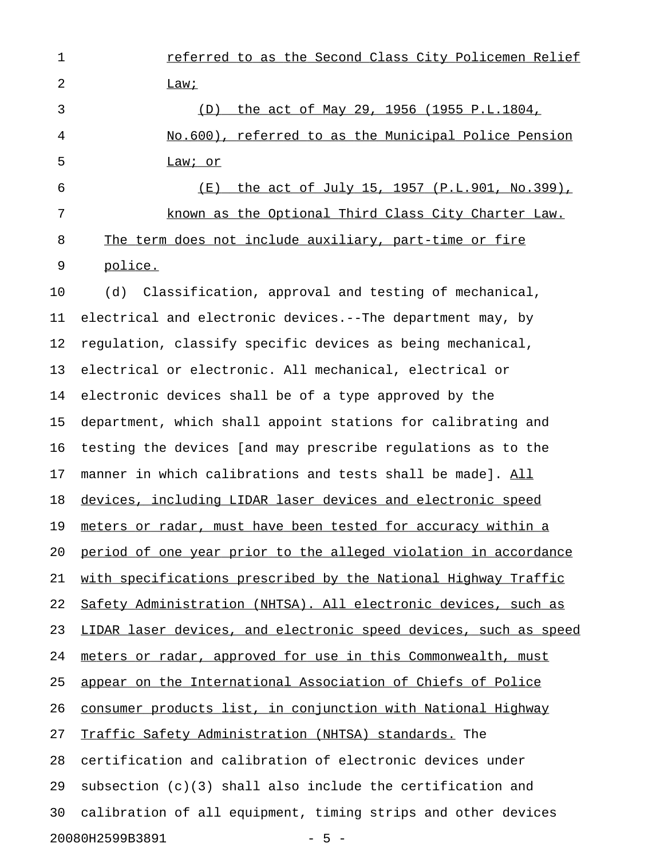1 **1** referred to as the Second Class City Policemen Relief 2 Lawi 3 (D) the act of May 29, 1956 (1955 P.L.1804, 4 No.600), referred to as the Municipal Police Pension 5 Law; or 6 (E) the act of July 15, 1957 (P.L.901, No.399), 7 known as the Optional Third Class City Charter Law.

8 The term does not include auxiliary, part-time or fire 9 police.

10 (d) Classification, approval and testing of mechanical, 11 electrical and electronic devices.--The department may, by 12 regulation, classify specific devices as being mechanical, 13 electrical or electronic. All mechanical, electrical or 14 electronic devices shall be of a type approved by the 15 department, which shall appoint stations for calibrating and 16 testing the devices [and may prescribe regulations as to the 17 manner in which calibrations and tests shall be made]. All 18 devices, including LIDAR laser devices and electronic speed 19 meters or radar, must have been tested for accuracy within a 20 period of one year prior to the alleged violation in accordance 21 with specifications prescribed by the National Highway Traffic 22 Safety Administration (NHTSA). All electronic devices, such as 23 LIDAR laser devices, and electronic speed devices, such as speed 24 meters or radar, approved for use in this Commonwealth, must 25 appear on the International Association of Chiefs of Police 26 consumer products list, in conjunction with National Highway 27 Traffic Safety Administration (NHTSA) standards. The 28 certification and calibration of electronic devices under 29 subsection (c)(3) shall also include the certification and 30 calibration of all equipment, timing strips and other devices 20080H2599B3891 - 5 -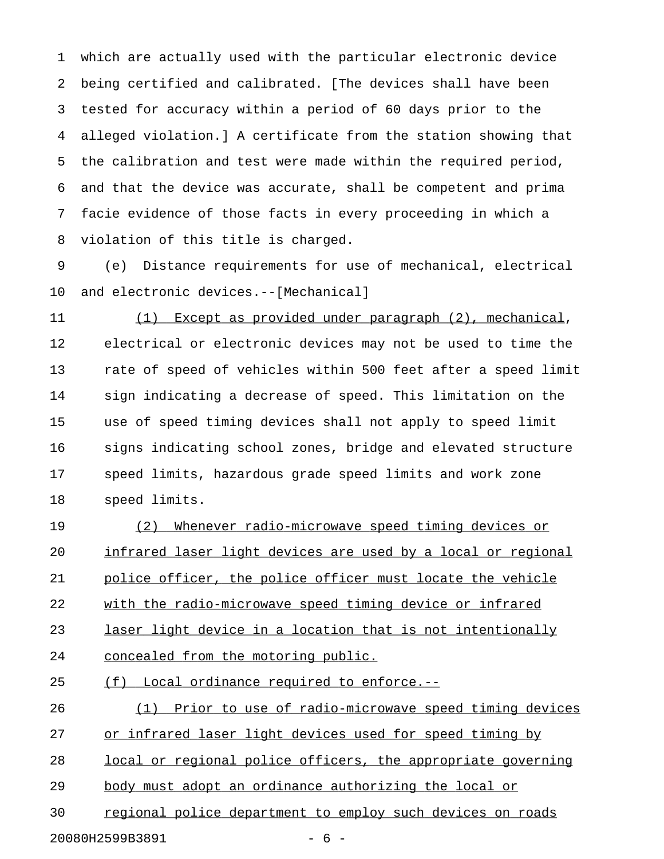1 which are actually used with the particular electronic device 2 being certified and calibrated. [The devices shall have been 3 tested for accuracy within a period of 60 days prior to the 4 alleged violation.] A certificate from the station showing that 5 the calibration and test were made within the required period, 6 and that the device was accurate, shall be competent and prima 7 facie evidence of those facts in every proceeding in which a 8 violation of this title is charged.

9 (e) Distance requirements for use of mechanical, electrical 10 and electronic devices.--[Mechanical]

11 (1) Except as provided under paragraph (2), mechanical, 12 electrical or electronic devices may not be used to time the 13 rate of speed of vehicles within 500 feet after a speed limit 14 sign indicating a decrease of speed. This limitation on the 15 use of speed timing devices shall not apply to speed limit 16 signs indicating school zones, bridge and elevated structure 17 speed limits, hazardous grade speed limits and work zone 18 speed limits.

19 (2) Whenever radio-microwave speed timing devices or 20 infrared laser light devices are used by a local or regional 21 police officer, the police officer must locate the vehicle 22 with the radio-microwave speed timing device or infrared 23 laser light device in a location that is not intentionally 24 concealed from the motoring public.

25 (f) Local ordinance required to enforce.--

26 (1) Prior to use of radio-microwave speed timing devices 27 or infrared laser light devices used for speed timing by 28 local or regional police officers, the appropriate governing 29 body must adopt an ordinance authorizing the local or

30 regional police department to employ such devices on roads

20080H2599B3891 - 6 -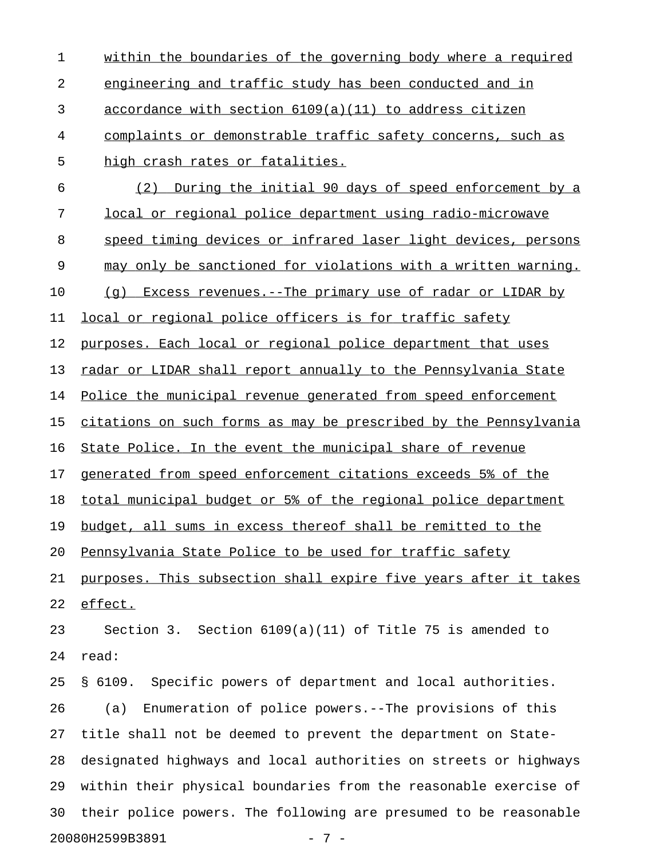| $\mathbf 1$ | within the boundaries of the governing body where a required     |
|-------------|------------------------------------------------------------------|
| 2           | engineering and traffic study has been conducted and in          |
| 3           | accordance with section 6109(a)(11) to address citizen           |
| 4           | complaints or demonstrable traffic safety concerns, such as      |
| 5           | high crash rates or fatalities.                                  |
| 6           | During the initial 90 days of speed enforcement by a<br>(2)      |
| 7           | <u>local or regional police department using radio-microwave</u> |
| 8           | speed timing devices or infrared laser light devices, persons    |
| 9           | may only be sanctioned for violations with a written warning.    |
| 10          | (q) Excess revenues.--The primary use of radar or LIDAR by       |
| 11          | local or regional police officers is for traffic safety          |
| 12          | purposes. Each local or regional police department that uses     |
| 13          | radar or LIDAR shall report annually to the Pennsylvania State   |
| 14          | Police the municipal revenue generated from speed enforcement    |
| 15          | citations on such forms as may be prescribed by the Pennsylvania |
| 16          | State Police. In the event the municipal share of revenue        |
| 17          | generated from speed enforcement citations exceeds 5% of the     |
| 18          | total municipal budget or 5% of the regional police department   |
| 19          | budget, all sums in excess thereof shall be remitted to the      |
| 20          | Pennsylvania State Police to be used for traffic safety          |
| 21          | purposes. This subsection shall expire five years after it takes |
| 22          | effect.                                                          |
| 23          | Section 3. Section 6109(a)(11) of Title 75 is amended to         |
| 24          | read:                                                            |
| 25          | § 6109. Specific powers of department and local authorities.     |
| 26          | Enumeration of police powers.--The provisions of this<br>(a)     |
| 27          | title shall not be deemed to prevent the department on State-    |
| 28          | designated highways and local authorities on streets or highways |
| 29          | within their physical boundaries from the reasonable exercise of |
| 30          | their police powers. The following are presumed to be reasonable |
|             | 20080H2599B3891<br>$-7-$                                         |